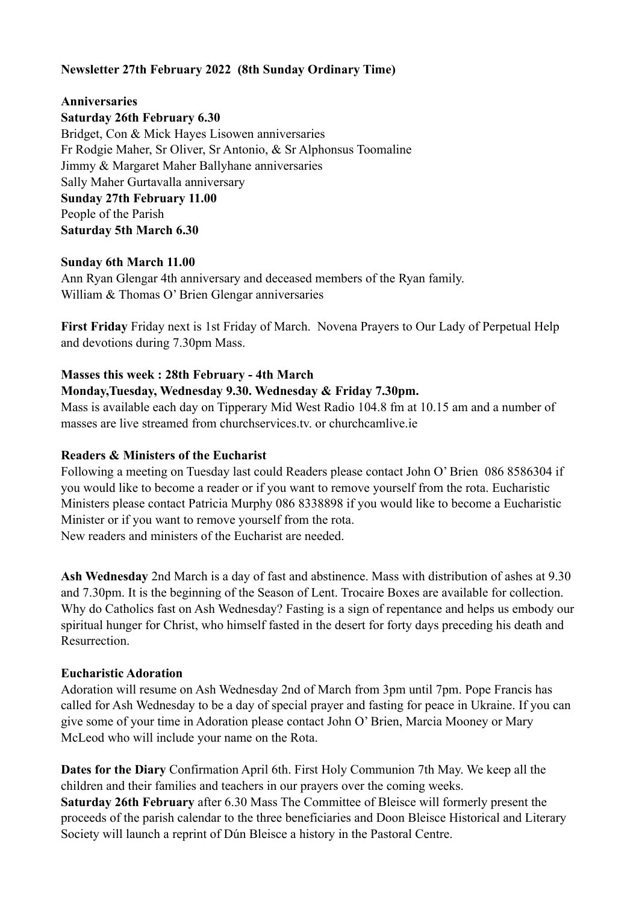## **Newsletter 27th February 2022 (8th Sunday Ordinary Time)**

#### **Anniversaries**

**Saturday 26th February 6.30** 

Bridget, Con & Mick Hayes Lisowen anniversaries Fr Rodgie Maher, Sr Oliver, Sr Antonio, & Sr Alphonsus Toomaline Jimmy & Margaret Maher Ballyhane anniversaries Sally Maher Gurtavalla anniversary **Sunday 27th February 11.00**  People of the Parish **Saturday 5th March 6.30** 

### **Sunday 6th March 11.00**

Ann Ryan Glengar 4th anniversary and deceased members of the Ryan family. William & Thomas O' Brien Glengar anniversaries

**First Friday** Friday next is 1st Friday of March. Novena Prayers to Our Lady of Perpetual Help and devotions during 7.30pm Mass.

## **Masses this week : 28th February - 4th March**

#### **Monday,Tuesday, Wednesday 9.30. Wednesday & Friday 7.30pm.**

Mass is available each day on Tipperary Mid West Radio 104.8 fm at 10.15 am and a number of masses are live streamed from churchservices.tv. or [churchcamlive.ie](http://churchcamlive.ie)

#### **Readers & Ministers of the Eucharist**

Following a meeting on Tuesday last could Readers please contact John O' Brien 086 8586304 if you would like to become a reader or if you want to remove yourself from the rota. Eucharistic Ministers please contact Patricia Murphy 086 8338898 if you would like to become a Eucharistic Minister or if you want to remove yourself from the rota. New readers and ministers of the Eucharist are needed.

**Ash Wednesday** 2nd March is a day of fast and abstinence. Mass with distribution of ashes at 9.30 and 7.30pm. It is the beginning of the Season of Lent. Trocaire Boxes are available for collection. Why do Catholics fast on Ash Wednesday? Fasting is a sign of repentance and helps us embody our spiritual hunger for Christ, who himself fasted in the desert for forty days preceding his death and **Resurrection** 

#### **Eucharistic Adoration**

Adoration will resume on Ash Wednesday 2nd of March from 3pm until 7pm. Pope Francis has called for Ash Wednesday to be a day of special prayer and fasting for peace in Ukraine. If you can give some of your time in Adoration please contact John O' Brien, Marcia Mooney or Mary McLeod who will include your name on the Rota.

**Dates for the Diary** Confirmation April 6th. First Holy Communion 7th May. We keep all the children and their families and teachers in our prayers over the coming weeks. **Saturday 26th February** after 6.30 Mass The Committee of Bleisce will formerly present the proceeds of the parish calendar to the three beneficiaries and Doon Bleisce Historical and Literary Society will launch a reprint of Dún Bleisce a history in the Pastoral Centre.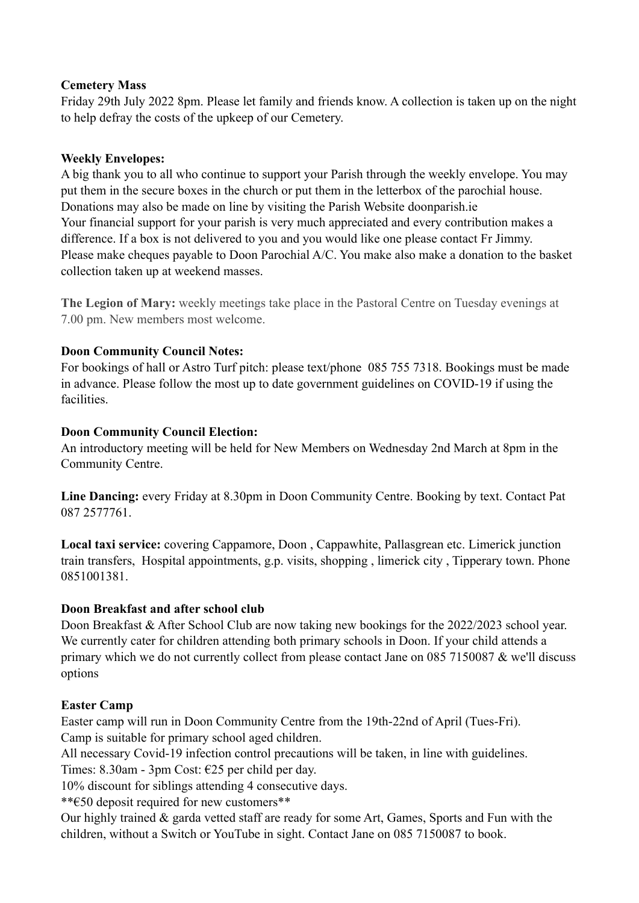## **Cemetery Mass**

Friday 29th July 2022 8pm. Please let family and friends know. A collection is taken up on the night to help defray the costs of the upkeep of our Cemetery.

## **Weekly Envelopes:**

A big thank you to all who continue to support your Parish through the weekly envelope. You may put them in the secure boxes in the church or put them in the letterbox of the parochial house. Donations may also be made on line by visiting the Parish Website [doonparish.ie](http://doonparish.ie) Your financial support for your parish is very much appreciated and every contribution makes a difference. If a box is not delivered to you and you would like one please contact Fr Jimmy. Please make cheques payable to Doon Parochial A/C. You make also make a donation to the basket collection taken up at weekend masses.

**The Legion of Mary:** weekly meetings take place in the Pastoral Centre on Tuesday evenings at 7.00 pm. New members most welcome.

## **Doon Community Council Notes:**

For bookings of hall or Astro Turf pitch: please text/phone 085 755 7318. Bookings must be made in advance. Please follow the most up to date government guidelines on COVID-19 if using the facilities.

## **Doon Community Council Election:**

An introductory meeting will be held for New Members on Wednesday 2nd March at 8pm in the Community Centre.

**Line Dancing:** every Friday at 8.30pm in Doon Community Centre. Booking by text. Contact Pat 087 2577761.

**Local taxi service:** covering Cappamore, Doon , Cappawhite, Pallasgrean etc. Limerick junction train transfers, Hospital appointments, g.p. visits, shopping , limerick city , Tipperary town. Phone 0851001381.

## **Doon Breakfast and after school club**

Doon Breakfast & After School Club are now taking new bookings for the 2022/2023 school year. We currently cater for children attending both primary schools in Doon. If your child attends a primary which we do not currently collect from please contact Jane on 085 7150087 & we'll discuss options

## **Easter Camp**

Easter camp will run in Doon Community Centre from the 19th-22nd of April (Tues-Fri). Camp is suitable for primary school aged children.

All necessary Covid-19 infection control precautions will be taken, in line with guidelines.

Times: 8.30am - 3pm Cost: €25 per child per day.

10% discount for siblings attending 4 consecutive days.

\*\*€50 deposit required for new customers\*\*

Our highly trained & garda vetted staff are ready for some Art, Games, Sports and Fun with the children, without a Switch or YouTube in sight. Contact Jane on 085 7150087 to book.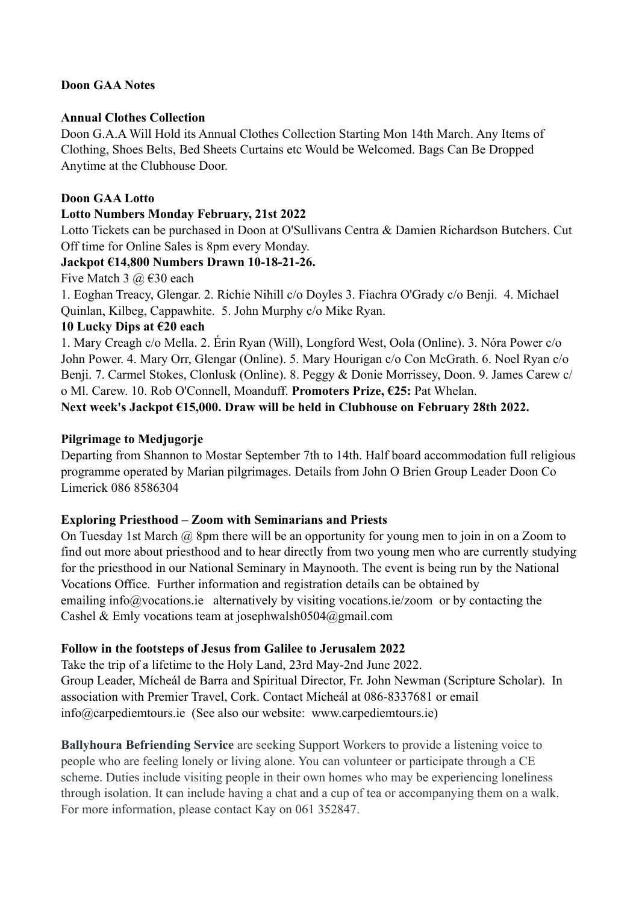## **Doon GAA Notes**

## **Annual Clothes Collection**

Doon G.A.A Will Hold its Annual Clothes Collection Starting Mon 14th March. Any Items of Clothing, Shoes Belts, Bed Sheets Curtains etc Would be Welcomed. Bags Can Be Dropped Anytime at the Clubhouse Door.

## **Doon GAA Lotto**

## **Lotto Numbers Monday February, 21st 2022**

Lotto Tickets can be purchased in Doon at O'Sullivans Centra & Damien Richardson Butchers. Cut Off time for Online Sales is 8pm every Monday.

## **Jackpot €14,800 Numbers Drawn 10-18-21-26.**

Five Match 3  $\omega$   $\in$  30 each

1. Eoghan Treacy, Glengar. 2. Richie Nihill c/o Doyles 3. Fiachra O'Grady c/o Benji. 4. Michael Quinlan, Kilbeg, Cappawhite. 5. John Murphy c/o Mike Ryan.

## **10 Lucky Dips at €20 each**

1. Mary Creagh c/o Mella. 2. Érin Ryan (Will), Longford West, Oola (Online). 3. Nóra Power c/o John Power. 4. Mary Orr, Glengar (Online). 5. Mary Hourigan c/o Con McGrath. 6. Noel Ryan c/o Benji. 7. Carmel Stokes, Clonlusk (Online). 8. Peggy & Donie Morrissey, Doon. 9. James Carew c/ o Ml. Carew. 10. Rob O'Connell, Moanduff. **Promoters Prize, €25:** Pat Whelan. **Next week's Jackpot €15,000. Draw will be held in Clubhouse on February 28th 2022.** 

## **Pilgrimage to Medjugorje**

Departing from Shannon to Mostar September 7th to 14th. Half board accommodation full religious programme operated by Marian pilgrimages. Details from John O Brien Group Leader Doon Co Limerick 086 8586304

## **Exploring Priesthood – Zoom with Seminarians and Priests**

On Tuesday 1st March @ 8pm there will be an opportunity for young men to join in on a Zoom to find out more about priesthood and to hear directly from two young men who are currently studying for the priesthood in our National Seminary in Maynooth. The event is being run by the National Vocations Office. Further information and registration details can be obtained by emailing [info@vocations.ie](mailto:info@vocations.ie) alternatively by visiting [vocations.ie/zoom](http://vocations.ie/zoom) or by contacting the Cashel & Emly vocations team at [josephwalsh0504@gmail.com](mailto:josephwalsh0504@gmail.com)

### **Follow in the footsteps of Jesus from Galilee to Jerusalem 2022**

Take the trip of a lifetime to the Holy Land, 23rd May-2nd June 2022. Group Leader, Mícheál de Barra and Spiritual Director, Fr. John Newman (Scripture Scholar). In association with Premier Travel, Cork. Contact Mícheál at 086-8337681 or email [info@carpediemtours.ie](mailto:info@carpediemtours.ie) (See also our website: [www.carpediemtours.ie](http://www.carpediemtours.ie))

**Ballyhoura Befriending Service** are seeking Support Workers to provide a listening voice to people who are feeling lonely or living alone. You can volunteer or participate through a CE scheme. Duties include visiting people in their own homes who may be experiencing loneliness through isolation. It can include having a chat and a cup of tea or accompanying them on a walk. For more information, please contact Kay on 061 352847.